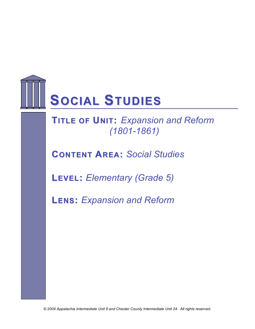

# **TITLE OF UNIT:** Expansion and Reform *(1801-1861)*

**CONTENT AREA:** *Social Studies*

**LEVEL:** *Elementary (Grade 5)*

**LENS:** *Expansion and Reform*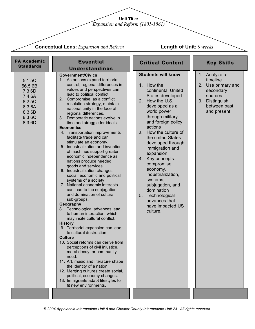**Unit Title:**

*Expansion and Reform (1801-1861)*

**Conceptual Lens:** *Expansion and Reform*

**Length of Unit:** *9 weeks*

| <b>PA Academic</b><br><b>Standards</b>                                                 | <b>Essential</b><br><b>Understandings</b>                                                                                                                                                                                                                                                                                                                                                                                                                                                                                                                                                                                                                                                                                                                                                                                                                                                                                                                                                                                                                                                                                                                                                                                                                                                                                                                                             | <b>Critical Content</b>                                                                                                                                                                                                                                                                                                                                                                                                                                                                | <b>Key Skills</b>                                                                                                       |
|----------------------------------------------------------------------------------------|---------------------------------------------------------------------------------------------------------------------------------------------------------------------------------------------------------------------------------------------------------------------------------------------------------------------------------------------------------------------------------------------------------------------------------------------------------------------------------------------------------------------------------------------------------------------------------------------------------------------------------------------------------------------------------------------------------------------------------------------------------------------------------------------------------------------------------------------------------------------------------------------------------------------------------------------------------------------------------------------------------------------------------------------------------------------------------------------------------------------------------------------------------------------------------------------------------------------------------------------------------------------------------------------------------------------------------------------------------------------------------------|----------------------------------------------------------------------------------------------------------------------------------------------------------------------------------------------------------------------------------------------------------------------------------------------------------------------------------------------------------------------------------------------------------------------------------------------------------------------------------------|-------------------------------------------------------------------------------------------------------------------------|
| 5.1 5C<br>56.5 6B<br>7.3 6D<br>7.4 6A<br>8.2 5C<br>8.3 6A<br>8.3 6B<br>8.36C<br>8.3 6D | <b>Government/Civics</b><br>1. As nations expand territorial<br>control, regional differences in<br>values and perspectives can<br>lead to political conflict.<br>2.<br>Compromise, as a conflict<br>resolution strategy, maintain<br>national unity in the face of<br>regional differences.<br>3.<br>Democratic nations evolve in<br>time and struggle for ideals.<br><b>Economics</b><br>4. Transportation improvements<br>facilitate trade and can<br>stimulate an economy.<br>5. Industrialization and invention<br>of machines support greater<br>economic independence as<br>nations produce needed<br>goods and services.<br>6. Industrialization changes<br>social, economic and political<br>systems of a society.<br>7. National economic interests<br>can lead to the subjugation<br>and domination of cultural<br>sub-groups.<br>Geography<br>8. Technological advances lead<br>to human interaction, which<br>may incite cultural conflict.<br><b>History</b><br>9. Territorial expansion can lead<br>to cultural destruction.<br><b>Culture</b><br>10. Social reforms can derive from<br>perceptions of civil injustice,<br>moral decay, or community<br>need.<br>11. Art, music and literature shape<br>the identity of a nation.<br>12. Merging cultures create social,<br>political, economy changes.<br>13. Immigrants adapt lifestyles to<br>fit new environments. | <b>Students will know:</b><br>1. How the<br>continental United<br>States developed<br>2. How the U.S.<br>developed as a<br>world power<br>through military<br>and foreign policy<br>actions<br>3. How the culture of<br>the united States<br>developed through<br>immigration and<br>expansion<br>4. Key concepts:<br>compromise,<br>economy,<br>industrialization,<br>systems,<br>subjugation, and<br>domination<br>5. Technological<br>advances that<br>have impacted US<br>culture. | 1. Analyze a<br>timeline<br>2. Use primary and<br>secondary<br>sources<br>3. Distinguish<br>between past<br>and present |
|                                                                                        |                                                                                                                                                                                                                                                                                                                                                                                                                                                                                                                                                                                                                                                                                                                                                                                                                                                                                                                                                                                                                                                                                                                                                                                                                                                                                                                                                                                       |                                                                                                                                                                                                                                                                                                                                                                                                                                                                                        |                                                                                                                         |

*© 2004 Appalachia Intermediate Unit 8 and Chester County Intermediate Unit 24. All rights reserved.*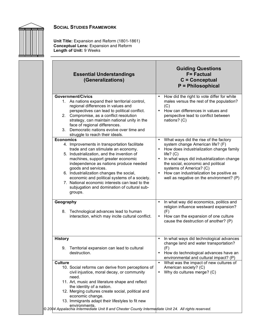

**Unit Title:** Expansion and Reform (1801-1861) **Conceptual Lens:** Expansion and Reform **Length of Unit:** 9 Weeks

| <b>Essential Understandings</b><br>(Generalizations)                                                                                                                                                                                                                                                                                                                                                                                                                 | <b>Guiding Questions</b><br><b>F=Factual</b><br>$C =$ Conceptual<br>P = Philosophical                                                                                                                                                                                                                                                                                |
|----------------------------------------------------------------------------------------------------------------------------------------------------------------------------------------------------------------------------------------------------------------------------------------------------------------------------------------------------------------------------------------------------------------------------------------------------------------------|----------------------------------------------------------------------------------------------------------------------------------------------------------------------------------------------------------------------------------------------------------------------------------------------------------------------------------------------------------------------|
| <b>Government/Civics</b><br>1. As nations expand their territorial control,<br>regional differences in values and<br>perspectives can lead to political conflict.<br>2. Compromise, as a conflict resolution<br>strategy, can maintain national unity in the<br>face of regional differences.<br>3. Democratic nations evolve over time and<br>struggle to reach their ideals.                                                                                       | How did the right to vote differ for white<br>males versus the rest of the population?<br>(C)<br>• How can differences in values and<br>perspective lead to conflict between<br>nations? (C)                                                                                                                                                                         |
| <b>Economics</b><br>4. Improvements in transportation facilitate<br>trade and can stimulate an economy.<br>5. Industrialization, and the invention of<br>machines, support greater economic<br>independence as nations produce needed<br>goods and services.<br>6. Industrialization changes the social,<br>economic and political systems of a society.<br>7. National economic interests can lead to the<br>subjugation and domination of cultural sub-<br>groups. | What ways did the rise of the factory<br>$\bullet$<br>system change American life? (F)<br>How does industrialization change family<br>life? $(C)$<br>In what ways did industrialization change<br>the social, economic and political<br>systems of America? (C)<br>How can industrialization be positive as<br>$\bullet$<br>well as negative on the environment? (P) |
| Geography<br>8.<br>Technological advances lead to human<br>interaction, which may incite cultural conflict.                                                                                                                                                                                                                                                                                                                                                          | In what way did economics, politics and<br>$\bullet$<br>religion influence westward expansion?<br>(F)<br>How can the expansion of one culture<br>$\bullet$<br>cause the destruction of another? (P)                                                                                                                                                                  |
| <b>History</b><br>9. Territorial expansion can lead to cultural<br>destruction.                                                                                                                                                                                                                                                                                                                                                                                      | In what ways did technological advances<br>$\bullet$<br>change land and water transportation?<br>(F)<br>How do technological advances have an<br>environmental and cultural impact? (P)                                                                                                                                                                              |
| <b>Culture</b><br>10. Social reforms can derive from perceptions of<br>civil injustice, moral decay, or community<br>need.<br>11. Art, music and literature shape and reflect<br>the identity of a nation.<br>12. Merging cultures create social, political and<br>economic change.<br>13. Immigrants adapt their lifestyles to fit new<br>environments.<br>© 2004 Appalachia Intermediate Unit 8 and Chester County Intermediate Unit 24. All rights reserved.      | What was the impact of new cultures of<br>$\bullet$<br>American society? (C)<br>Why do cultures merge? (C)<br>٠                                                                                                                                                                                                                                                      |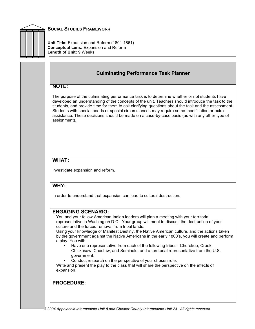

**Unit Title:** Expansion and Reform (1801-1861) **Conceptual Lens:** Expansion and Reform **Length of Unit:** 9 Weeks

## **Culminating Performance Task Planner**

#### **NOTE:**

The purpose of the culminating performance task is to determine whether or not students have developed an understanding of the concepts of the unit. Teachers should introduce the task to the students, and provide time for them to ask clarifying questions about the task and the assessment. Students with special needs or special circumstances may require some modification or extra assistance. These decisions should be made on a case-by-case basis (as with any other type of assignment).

#### **WHAT:**

Investigate expansion and reform.

#### **WHY:**

In order to understand that expansion can lead to cultural destruction.

#### **ENGAGING SCENARIO:**

You and your fellow American Indian leaders will plan a meeting with your territorial representative in Washington D.C. Your group will meet to discuss the destruction of your culture and the forced removal from tribal lands.

Using your knowledge of Manifest Destiny, the Native American culture, and the actions taken by the government against the Native Americans in the early 1800's, you will create and perform a play. You will:

- Have one representative from each of the following tribes: Cherokee, Creek, Chickasaw, Choctaw, and Seminole, and a territorial representative from the U.S. government.
- Conduct research on the perspective of your chosen role.

Write and present the play to the class that will share the perspective on the effects of expansion.

#### **PROCEDURE:**

*© 2004 Appalachia Intermediate Unit 8 and Chester County Intermediate Unit 24. All rights reserved.*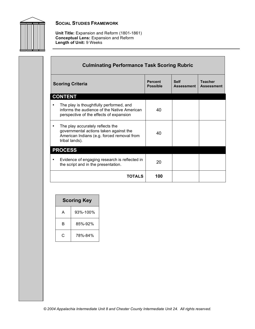

**Unit Title:** Expansion and Reform (1801-1861) **Conceptual Lens:** Expansion and Reform **Length of Unit:** 9 Weeks

| <b>Culminating Performance Task Scoring Rubric</b>                                                                                         |                                   |                           |                                     |  |
|--------------------------------------------------------------------------------------------------------------------------------------------|-----------------------------------|---------------------------|-------------------------------------|--|
| <b>Scoring Criteria</b>                                                                                                                    | <b>Percent</b><br><b>Possible</b> | <b>Self</b><br>Assessment | <b>Teacher</b><br><b>Assessment</b> |  |
| <b>CONTENT</b>                                                                                                                             |                                   |                           |                                     |  |
| The play is thoughtfully performed, and<br>informs the audience of the Native American<br>perspective of the effects of expansion          | 40                                |                           |                                     |  |
| The play accurately reflects the<br>governmental actions taken against the<br>American Indians (e.g. forced removal from<br>tribal lands). | 40                                |                           |                                     |  |
| <b>PROCESS</b>                                                                                                                             |                                   |                           |                                     |  |
| Evidence of engaging research is reflected in<br>the script and in the presentation.                                                       | 20                                |                           |                                     |  |
| <b>TOTALS</b>                                                                                                                              | 100                               |                           |                                     |  |

| <b>Scoring Key</b> |          |  |  |
|--------------------|----------|--|--|
| А                  | 93%-100% |  |  |
| R                  | 85%-92%  |  |  |
| C                  | 78%-84%  |  |  |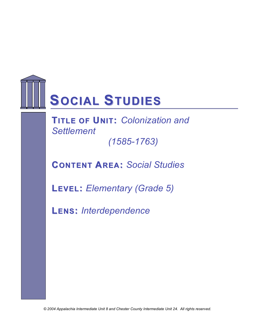

**TITLE OF UNIT: Colonization and** *Settlement (1585-1763)*

**CONTENT AREA:** *Social Studies*

**LEVEL:** *Elementary (Grade 5)*

**LENS:** *Interdependence*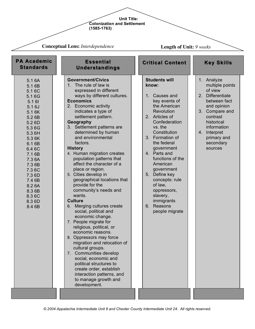#### **Unit Title: Colonization and Settlement (1585-1763)**

**Conceptual Lens:** *Interdependence* **Government/Civics** 1. The rule of law is expressed in different ways by different cultures. **Economics** 2. Economic activity indicates a type of settlement pattern. **Geography** 3. Settlement patterns are determined by human and environmental factors. **History** 4. Human migration creates population patterns that affect the character of a place or region. 5. Cities develop in geographical locations that provide for the community's needs and wants. **Culture** 6. Merging cultures create social, political and economic change. 7. People migrate for religious, political, or economic reasons. 8. Oppressors may force migration and relocation of cultural groups. 7. Communities develop social, economic and political structures to create order, establish interaction patterns, and to manage growth and development. 5.1 6A 5.1 6B 5.1 6C 5.1 6G 5.1 6I 5.1 6J 5.1 6K 5.2 6B 5.2 6D 5.3 6G 5.3 6H 5.3 6K 6.1 6B 6.4 6C 7.1 6B 7.3 6A 7.3 6B 7.3 6C 7.3 6D 7.4 6B 8.2 6A 8.3 6B 8.3 6C 8.3 6D 8.4 6B **Students will know:** 1. Causes and key events of the American **Revolution** 2. Articles of Confederation vs. the **Constitution** 3. Formation of the federal government 4. Parts and functions of the American government 5. Define key concepts: rule of law, oppressors, slavery, immigrants 6. Reasons people migrate 1. Analyze multiple points of view 2. Differentiate between fact and opinion 3. Compare and contrast historical information 4. Interpret primary and secondary sources **PA Academic Standards Essential Understandings Critical Content Key Skills Length of Unit:** *9 weeks*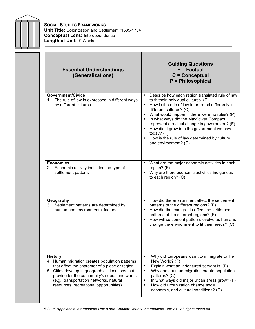

**SOCIAL STUDIES FRAMEWORKS Unit Title:** Colonization and Settlement (1585-1764) **Conceptual Lens:** Interdependence **Length of Unit:** 9 Weeks

| <b>Essential Understandings</b><br>(Generalizations)                                                                                                                                                                                                                                                         | <b>Guiding Questions</b><br>$F = Factorual$<br>$C =$ Conceptual<br>P = Philosophical                                                                                                                                                                                                                                                                                                                                                                            |
|--------------------------------------------------------------------------------------------------------------------------------------------------------------------------------------------------------------------------------------------------------------------------------------------------------------|-----------------------------------------------------------------------------------------------------------------------------------------------------------------------------------------------------------------------------------------------------------------------------------------------------------------------------------------------------------------------------------------------------------------------------------------------------------------|
| Government/Civics<br>1. The rule of law is expressed in different ways<br>by different cultures.                                                                                                                                                                                                             | Describe how each region translated rule of law<br>to fit their individual cultures. (F)<br>How is the rule of law interpreted differently in<br>different cultures? (C)<br>What would happen if there were no rules? (P)<br>In what ways did the Mayflower Compact<br>represent a radical change in government? (F)<br>• How did it grow into the government we have<br>today? $(F)$<br>• How is the rule of law determined by culture<br>and environment? (C) |
| <b>Economics</b><br>2. Economic activity indicates the type of<br>settlement pattern.                                                                                                                                                                                                                        | What are the major economic activities in each<br>region? (F)<br>Why are there economic activities indigenous<br>$\bullet$<br>to each region? (C)                                                                                                                                                                                                                                                                                                               |
| Geography<br>3. Settlement patterns are determined by<br>human and environmental factors.                                                                                                                                                                                                                    | How did the environment affect the settlement<br>patterns of the different regions? (F)<br>How did the immigrants affect the settlement<br>$\bullet$<br>patterns of the different regions? (F)<br>How will settlement patterns evolve as humans<br>change the environment to fit their needs? (C)                                                                                                                                                               |
| <b>History</b><br>4. Human migration creates population patterns<br>that affect the character of a place or region.<br>5. Cities develop in geographical locations that<br>provide for the community's needs and wants<br>(e.g., transportation networks, natural<br>resources, recreational opportunities). | Why did Europeans wan t to immigrate to the<br>$\bullet$<br>New World? (F)<br>Explain what an indentured servant is. (F)<br>$\bullet$<br>Why does human migration create population<br>$\bullet$<br>patterns? (C)<br>In what ways did major urban areas grow? (F)<br>$\bullet$<br>How did urbanization change social,<br>$\bullet$<br>economic, and cultural conditions? (C)                                                                                    |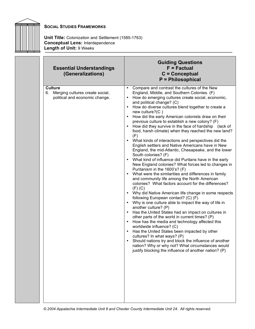

**Unit Title:** Colonization and Settlement (1585-1763) **Conceptual Lens:** Interdependence **Length of Unit:** 9 Weeks

| <b>Essential Understandings</b><br>(Generalizations)                                      | <b>Guiding Questions</b><br>$F = Factorual$<br>$C =$ Conceptual<br><b>P</b> = Philosophical                                                                                                                                                                                                                                                                                                                                                                                                                                                                                                                                                                                                                                                                                                                                                                                                                                                                                                                                                                                                                                                                                                                                                                                                                                                                                                                                                                                                                                                                                                                                                                             |
|-------------------------------------------------------------------------------------------|-------------------------------------------------------------------------------------------------------------------------------------------------------------------------------------------------------------------------------------------------------------------------------------------------------------------------------------------------------------------------------------------------------------------------------------------------------------------------------------------------------------------------------------------------------------------------------------------------------------------------------------------------------------------------------------------------------------------------------------------------------------------------------------------------------------------------------------------------------------------------------------------------------------------------------------------------------------------------------------------------------------------------------------------------------------------------------------------------------------------------------------------------------------------------------------------------------------------------------------------------------------------------------------------------------------------------------------------------------------------------------------------------------------------------------------------------------------------------------------------------------------------------------------------------------------------------------------------------------------------------------------------------------------------------|
| <b>Culture</b><br>Merging cultures create social,<br>6.<br>political and economic change. | Compare and contrast the cultures of the New<br>$\bullet$<br>England, Middle, and Southern Colonies. (F)<br>How do emerging cultures create social, economic,<br>and political change? (C)<br>How do diverse cultures blend together to create a<br>new culture? $(C)$<br>How did the early American colonists draw on their<br>previous culture to establish a new colony? (F)<br>How did they survive in the face of hardship (lack of<br>food, harsh climate) when they reached the new land?<br>(F)<br>What kinds of interactions and perspectives did the<br>$\bullet$<br>English settlers and Native Americans have in New<br>England, the mid-Atlantic, Chesapeake, and the lower<br>South colonies? (F)<br>What kind of influence did Puritans have in the early<br>New England colonies? What forces led to changes in<br>Puritanism in the 1600's? (F)<br>What were the similarities and differences in family<br>and community life among the North American<br>colonies? What factors account for the differences?<br>$(F)$ $(C)$<br>Why did Native American life change in some respects<br>following European contact? (C) (F)<br>Why is one culture able to impact the way of life in<br>another culture? (P)<br>Has the United States had an impact on cultures in<br>other parts of the world in current times? (P)<br>How has the media and technology affected this<br>worldwide influence? (C)<br>Has the United States been impacted by other<br>cultures? In what ways? (P)<br>Should nations try and block the influence of another<br>nation? Why or why not? What circumstances would<br>justify blocking the influence of another nation? (P) |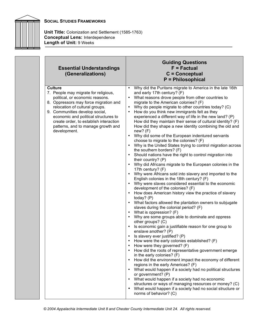

**Unit Title:** Colonization and Settlement (1585-1763) **Conceptual Lens:** Interdependence **Length of Unit:** 9 Weeks

| <b>Essential Understandings</b><br>(Generalizations)                                                                                                                                                                                                                                                                                           | <b>Guiding Questions</b><br>$F = Factorual$<br>$C =$ Conceptual<br><b>P</b> = Philosophical                                                                                                                                                                                                                                                                                                                                                                                                                                                                                                                                                                                                                                                                                                                                                                                                                                                                                                                                                                                                                                                                                                                                                                                                                                                                                                                                                                                                                                                                                                                                                                                                                                                                                                                                                                                                                                                                                                                                                                                |
|------------------------------------------------------------------------------------------------------------------------------------------------------------------------------------------------------------------------------------------------------------------------------------------------------------------------------------------------|----------------------------------------------------------------------------------------------------------------------------------------------------------------------------------------------------------------------------------------------------------------------------------------------------------------------------------------------------------------------------------------------------------------------------------------------------------------------------------------------------------------------------------------------------------------------------------------------------------------------------------------------------------------------------------------------------------------------------------------------------------------------------------------------------------------------------------------------------------------------------------------------------------------------------------------------------------------------------------------------------------------------------------------------------------------------------------------------------------------------------------------------------------------------------------------------------------------------------------------------------------------------------------------------------------------------------------------------------------------------------------------------------------------------------------------------------------------------------------------------------------------------------------------------------------------------------------------------------------------------------------------------------------------------------------------------------------------------------------------------------------------------------------------------------------------------------------------------------------------------------------------------------------------------------------------------------------------------------------------------------------------------------------------------------------------------------|
| <b>Culture</b><br>7. People may migrate for religious,<br>political, or economic reasons.<br>8. Oppressors may force migration and<br>relocation of cultural groups.<br>9. Communities develop social,<br>economic and political structures to<br>create order, to establish interaction<br>patterns, and to manage growth and<br>development. | Why did the Puritans migrate to America in the late 16th<br>and early 17th century? (F)<br>What reasons drove people from other countries to<br>migrate to the American colonies? (F)<br>Why do people migrate to other countries today? (C)<br>$\bullet$<br>How do you think new immigrants felt as they<br>experienced a different way of life in the new land? (P)<br>How did they maintain their sense of cultural identity? (F)<br>How did they shape a new identity combining the old and<br>new? (F)<br>Why did some of the European indentured servants<br>choose to migrate to the colonies? (F)<br>Why is the United States trying to control migration across<br>the southern borders? (F)<br>Should nations have the right to control migration into<br>their country? (P)<br>Why did Africans migrate to the European colonies in the<br>17th century? (F)<br>Why were Africans sold into slavery and imported to the<br>$\bullet$<br>English colonies in the 18th century? (F)<br>Why were slaves considered essential to the economic<br>development of the colonies? (F)<br>How does American history view the practice of slavery<br>today? $(P)$<br>What factors allowed the plantation owners to subjugate<br>$\bullet$<br>slaves during the colonial period? (F)<br>What is oppression? (F)<br>Why are some groups able to dominate and oppress<br>other groups? (C)<br>Is economic gain a justifiable reason for one group to<br>enslave another? (P)<br>Is slavery ever justified? (P)<br>How were the early colonies established? (F)<br>How were they governed? (F)<br>How did the roots of representative government emerge<br>in the early colonies? (F)<br>How did the environment impact the economy of different<br>regions in the early Americas? (F)<br>What would happen if a society had no political structures<br>or government? (P)<br>What would happen if a society had no economic<br>structures or ways of managing resources or money? (C)<br>What would happen if a society had no social structure or<br>norms of behavior? (C) |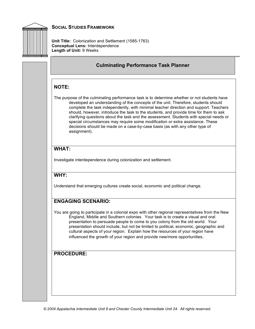

**Unit Title:** Colonization and Settlement (1585-1763) **Conceptual Lens:** Interdependence **Length of Unit:** 9 Weeks

# **Culminating Performance Task Planner NOTE:** The purpose of the culminating performance task is to determine whether or not students have developed an understanding of the concepts of the unit. Therefore, students should complete the task independently, with minimal teacher direction and support. Teachers should, however, introduce the task to the students, and provide time for them to ask clarifying questions about the task and the assessment. Students with special needs or special circumstances may require some modification or extra assistance. These decisions should be made on a case-by-case basis (as with any other type of assignment). **WHAT:** Investigate interdependence during colonization and settlement. **WHY:** Understand that emerging cultures create social, economic and political change. **ENGAGING SCENARIO:** You are going to participate in a colonial expo with other regional representatives from the New England, Middle and Southern colonies. Your task is to create a visual and oral presentation to persuade people to come to you colony from the old world. Your presentation should include, but not be limited to political, economic, geographic and cultural aspects of your region. Explain how the resources of your region have influenced the growth of your region and provide new/more opportunities. **PROCEDURE:**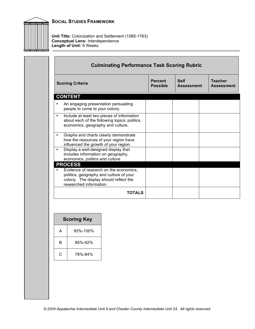

**Unit Title:** Colonization and Settlement (1585-1763) **Conceptual Lens:** Interdependence **Length of Unit:** 9 Weeks

| <b>Scoring Criteria</b>                                                                                                                                | <b>Percent</b><br><b>Possible</b> | <b>Self</b><br><b>Assessment</b> | <b>Teacher</b><br><b>Assessment</b> |
|--------------------------------------------------------------------------------------------------------------------------------------------------------|-----------------------------------|----------------------------------|-------------------------------------|
| <b>CONTENT</b>                                                                                                                                         |                                   |                                  |                                     |
| An engaging presentation persuading<br>people to come to your colony.                                                                                  |                                   |                                  |                                     |
| Include at least two pieces of information<br>$\bullet$<br>about each of the following topics: politics,<br>economics, geography and culture.          |                                   |                                  |                                     |
| Graphs and charts clearly demonstrate<br>$\bullet$<br>how the resources of your region have<br>influenced the growth of your region.                   |                                   |                                  |                                     |
| Display a well-designed display that<br>$\bullet$<br>includes information on geography,<br>economics, politics and culture.                            |                                   |                                  |                                     |
| <b>PROCESS</b>                                                                                                                                         |                                   |                                  |                                     |
| Evidence of research on the economics,<br>politics, geography and culture of your<br>colony. The display should reflect the<br>researched information. |                                   |                                  |                                     |
| <b>TOTALS</b>                                                                                                                                          |                                   |                                  |                                     |

| <b>Scoring Key</b> |          |  |
|--------------------|----------|--|
| А                  | 93%-100% |  |
| В                  | 85%-92%  |  |
| C                  | 78%-84%  |  |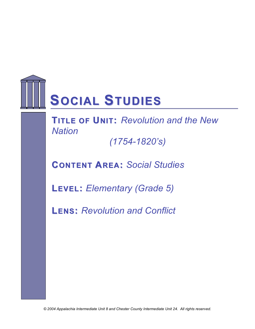

**FTIRTLAE MOFEUWNIOT:R***R***K***ev***S***olution and the New Nation*

*(1754-1820's)*

**CONTENT AREA:** *Social Studies*

**LEVEL:** *Elementary (Grade 5)*

**LENS:** *Revolution and Conflict*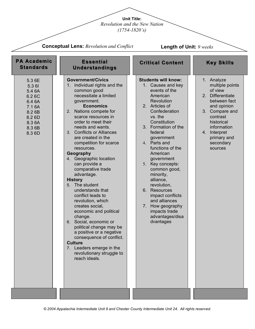**Unit Title:**

*Revolution and the New Nation* 

*(1754-1820's)*

| <b>Conceptual Lens: Revolution and Conflict</b>                                                          |                                                                                                                                                                                                                                                                                                                                                                                                                                                                                                                                                                                                                                                                                                                                                                                             | <b>Length of Unit: 9 weeks</b>                                                                                                                                                                                                                                                                                                                                                                                                                                                |                                                                                                                                                                                                                            |  |
|----------------------------------------------------------------------------------------------------------|---------------------------------------------------------------------------------------------------------------------------------------------------------------------------------------------------------------------------------------------------------------------------------------------------------------------------------------------------------------------------------------------------------------------------------------------------------------------------------------------------------------------------------------------------------------------------------------------------------------------------------------------------------------------------------------------------------------------------------------------------------------------------------------------|-------------------------------------------------------------------------------------------------------------------------------------------------------------------------------------------------------------------------------------------------------------------------------------------------------------------------------------------------------------------------------------------------------------------------------------------------------------------------------|----------------------------------------------------------------------------------------------------------------------------------------------------------------------------------------------------------------------------|--|
| <b>PA Academic</b><br><b>Standards</b>                                                                   | <b>Essential</b><br><b>Understandings</b>                                                                                                                                                                                                                                                                                                                                                                                                                                                                                                                                                                                                                                                                                                                                                   | <b>Critical Content</b>                                                                                                                                                                                                                                                                                                                                                                                                                                                       | <b>Key Skills</b>                                                                                                                                                                                                          |  |
| 5.3 6E<br>5.3 61<br>5.4 6A<br>6.26C<br>6.4 6A<br>7.16A<br>8.2 6B<br>8.2 6D<br>8.3 6A<br>8.3 6B<br>8.3 6D | <b>Government/Civics</b><br>1. Individual rights and the<br>common good<br>necessitate a limited<br>government.<br><b>Economics</b><br>2. Nations compete for<br>scarce resources in<br>order to meet their<br>needs and wants.<br>3. Conflicts or Alliances<br>are created in the<br>competition for scarce<br>resources.<br>Geography<br>4. Geographic location<br>can provide a<br>comparative trade<br>advantage.<br><b>History</b><br>5. The student<br>understands that<br>conflict leads to<br>revolution, which<br>creates social.<br>economic and political<br>change.<br>Social, economic or<br>6.<br>political change may be<br>a positive or a negative<br>consequence of conflict.<br><b>Culture</b><br>7. Leaders emerge in the<br>revolutionary struggle to<br>reach ideals. | <b>Students will know:</b><br>1. Causes and key<br>events of the<br>American<br>Revolution<br>2. Articles of<br>Confederation<br>vs. the<br>Constitution<br>3. Formation of the<br>federal<br>government<br>4. Parts and<br>functions of the<br>American<br>government<br>5. Key concepts:<br>common good,<br>minority,<br>alliance,<br>revolution,<br>6. Resources<br>impact conflicts<br>and alliances<br>7. How geography<br>impacts trade<br>advantages/disa<br>dvantages | 1. Analyze<br>multiple points<br>of view<br><b>Differentiate</b><br>2.<br>between fact<br>and opinion<br>3. Compare and<br>contrast<br>historical<br>information<br>Interpret<br>4.<br>primary and<br>secondary<br>sources |  |
|                                                                                                          |                                                                                                                                                                                                                                                                                                                                                                                                                                                                                                                                                                                                                                                                                                                                                                                             |                                                                                                                                                                                                                                                                                                                                                                                                                                                                               |                                                                                                                                                                                                                            |  |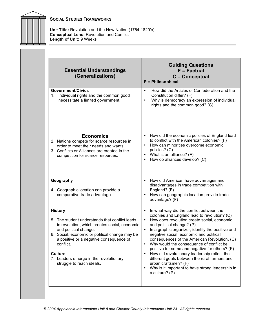

**Unit Title:** Revolution and the New Nation (1754-1820's) **Conceptual Lens:** Revolution and Conflict **Length of Unit:** 9 Weeks

| <b>Essential Understandings</b><br>(Generalizations)                                                                                                                                                                                                                   | <b>Guiding Questions</b><br>$F = Factorual$<br>C = Conceptual<br><b>P</b> = Philosophical                                                                                                                                                                                                                                                                                                                                                                                                                      |
|------------------------------------------------------------------------------------------------------------------------------------------------------------------------------------------------------------------------------------------------------------------------|----------------------------------------------------------------------------------------------------------------------------------------------------------------------------------------------------------------------------------------------------------------------------------------------------------------------------------------------------------------------------------------------------------------------------------------------------------------------------------------------------------------|
| <b>Government/Civics</b><br>Individual rights and the common good<br>1.<br>necessitate a limited government.                                                                                                                                                           | How did the Articles of Confederation and the<br>$\bullet$<br>Constitution differ? (F)<br>Why is democracy an expression of individual<br>$\bullet$<br>rights and the common good? (C)                                                                                                                                                                                                                                                                                                                         |
| <b>Economics</b><br>2. Nations compete for scarce resources in<br>order to meet their needs and wants.<br>3. Conflicts or Alliances are created in the<br>competition for scarce resources.                                                                            | How did the economic policies of England lead<br>٠<br>to conflict with the American colonies? (F)<br>How can minorities overcome economic<br>$\bullet$<br>policies? (C)<br>What is an alliance? (F)<br>$\bullet$<br>How do alliances develop? (C)<br>٠                                                                                                                                                                                                                                                         |
| Geography<br>4. Geographic location can provide a<br>comparative trade advantage.                                                                                                                                                                                      | How did American have advantages and<br>$\bullet$<br>disadvantages in trade competition with<br>England? (F)<br>How can geographic location provide trade<br>$\bullet$<br>advantage? (F)                                                                                                                                                                                                                                                                                                                       |
| <b>History</b><br>5. The student understands that conflict leads<br>to revolution, which creates social, economic<br>and political change.<br>6. Social, economic or political change may be<br>a positive or a negative consequence of<br>conflict.<br><b>Culture</b> | In what way did the conflict between the<br>$\bullet$<br>colonies and England lead to revolution? (C)<br>How does revolution create social, economic<br>٠<br>and political change? (P)<br>In a graphic organizer, identify the positive and<br>$\bullet$<br>negative social, economic and political<br>consequences of the American Revolution. (C)<br>Why would the consequence of conflict be<br>positive for some and negative for others? (P)<br>How did revolutionary leadership reflect the<br>$\bullet$ |
| 7. Leaders emerge in the revolutionary<br>struggle to reach ideals.                                                                                                                                                                                                    | different goals between the rural farmers and<br>urban craftsmen? (F)<br>Why is it important to have strong leadership in<br>$\bullet$<br>a culture? (P)                                                                                                                                                                                                                                                                                                                                                       |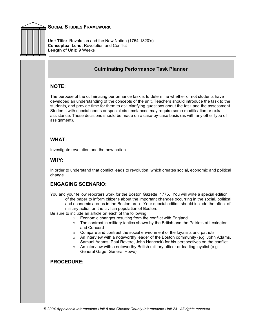

**Unit Title:** Revolution and the New Nation (1754-1820's) **Conceptual Lens:** Revolution and Conflict **Length of Unit:** 9 Weeks

## **Culminating Performance Task Planner**

### **NOTE:**

The purpose of the culminating performance task is to determine whether or not students have developed an understanding of the concepts of the unit. Teachers should introduce the task to the students, and provide time for them to ask clarifying questions about the task and the assessment. Students with special needs or special circumstances may require some modification or extra assistance. These decisions should be made on a case-by-case basis (as with any other type of assignment).

## **WHAT:**

Investigate revolution and the new nation.

## **WHY:**

In order to understand that conflict leads to revolution, which creates social, economic and political change.

# **ENGAGING SCENARIO:**

You and your fellow reporters work for the Boston Gazette, 1775. You will write a special edition of the paper to inform citizens about the important changes occurring in the social, political and economic arenas in the Boston area. Your special edition should include the effect of military action on the civilian population of Boston.

Be sure to include an article on each of the following:

- o Economic changes resulting from the conflict with England
- $\circ$  The contrast in military tactics shown by the British and the Patriots at Lexington and Concord
- o Compare and contrast the social environment of the loyalists and patriots
- $\circ$  An interview with a noteworthy leader of the Boston community (e.g. John Adams, Samuel Adams, Paul Revere, John Hancock) for his perspectives on the conflict.
- $\circ$  An interview with a noteworthy British military officer or leading loyalist (e.g. General Gage, General Howe)

## **PROCEDURE:**